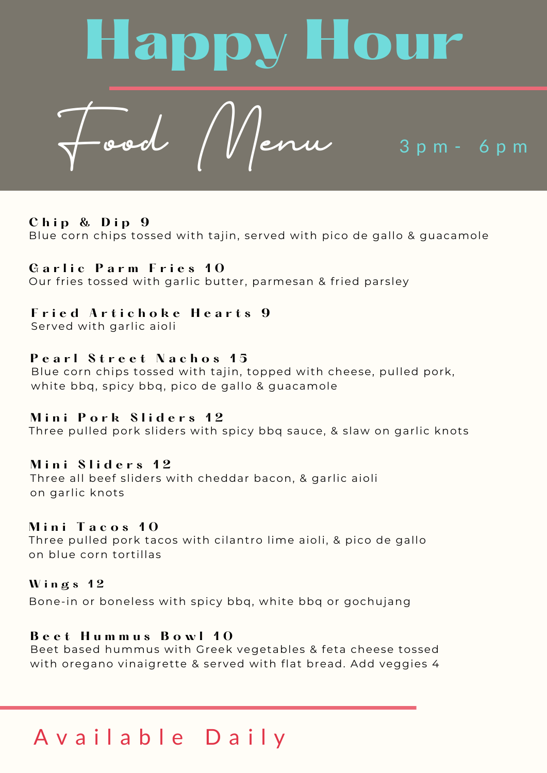

#### **C h i p & D i p 9**

Blue corn chips tossed with tajin, served with pico de gallo & guacamole

## **G a r l i c P a r m F r i e s 1 0**

Our fries tossed with garlic butter, parmesan & fried parsley

#### **F r i e d A r t i c h o k e H e a r t s 9**

Served with garlic aioli

#### **P e a r l S t r e e t N a c h o s 1 5**

Blue corn chips tossed with tajin, topped with cheese, pulled pork, white bbq, spicy bbq, pico de gallo & guacamole

#### **M i n i P o r k S l i d e r s 1 2**

Three pulled pork sliders with spicy bbq sauce, & slaw on garlic knots

#### **M i n i S l i d e r s 1 2**

Three all beef sliders with cheddar bacon, & garlic aioli on garlic knots

#### **M i n i T a c o s 1 0**

Three pulled pork tacos with cilantro lime aioli, & pico de gallo on blue corn tortillas

# **W i n g s 1 2** Bone-in or boneless with spicy bbq, white bbq or gochujang

#### **B e e t H u m m u s B o w l 1 0**

Beet based hummus with Greek vegetables & feta cheese tossed with oregano vinaigrette & served with flat bread. Add veggies 4

# A v a i l a b l e D a i l y